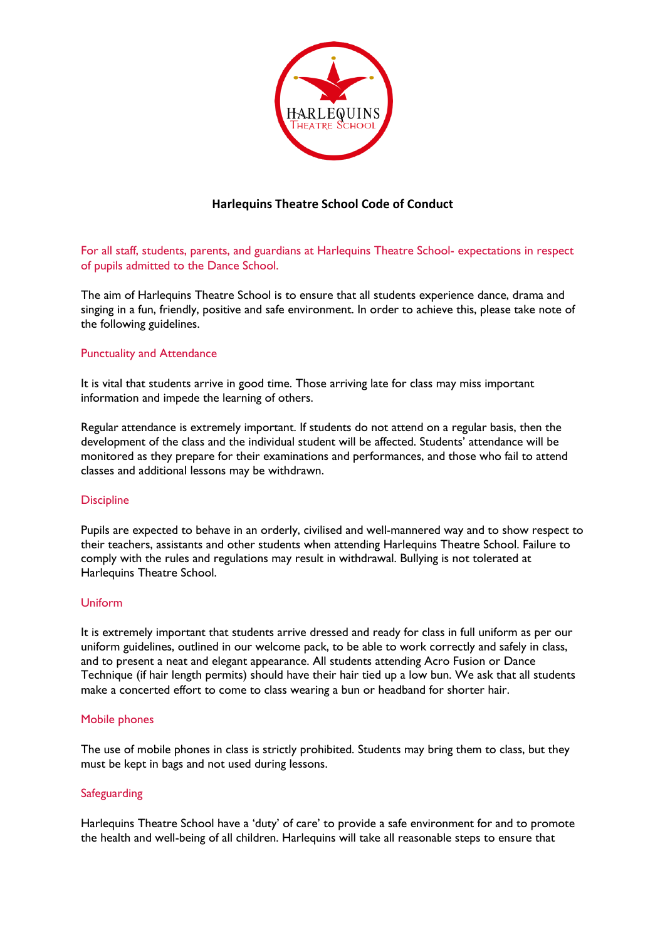

# **Harlequins Theatre School Code of Conduct**

For all staff, students, parents, and guardians at Harlequins Theatre School- expectations in respect of pupils admitted to the Dance School.

The aim of Harlequins Theatre School is to ensure that all students experience dance, drama and singing in a fun, friendly, positive and safe environment. In order to achieve this, please take note of the following guidelines.

## Punctuality and Attendance

It is vital that students arrive in good time. Those arriving late for class may miss important information and impede the learning of others.

Regular attendance is extremely important. If students do not attend on a regular basis, then the development of the class and the individual student will be affected. Students' attendance will be monitored as they prepare for their examinations and performances, and those who fail to attend classes and additional lessons may be withdrawn.

## **Discipline**

Pupils are expected to behave in an orderly, civilised and well-mannered way and to show respect to their teachers, assistants and other students when attending Harlequins Theatre School. Failure to comply with the rules and regulations may result in withdrawal. Bullying is not tolerated at Harlequins Theatre School.

#### Uniform

It is extremely important that students arrive dressed and ready for class in full uniform as per our uniform guidelines, outlined in our welcome pack, to be able to work correctly and safely in class, and to present a neat and elegant appearance. All students attending Acro Fusion or Dance Technique (if hair length permits) should have their hair tied up a low bun. We ask that all students make a concerted effort to come to class wearing a bun or headband for shorter hair.

#### Mobile phones

The use of mobile phones in class is strictly prohibited. Students may bring them to class, but they must be kept in bags and not used during lessons.

## **Safeguarding**

Harlequins Theatre School have a 'duty' of care' to provide a safe environment for and to promote the health and well-being of all children. Harlequins will take all reasonable steps to ensure that